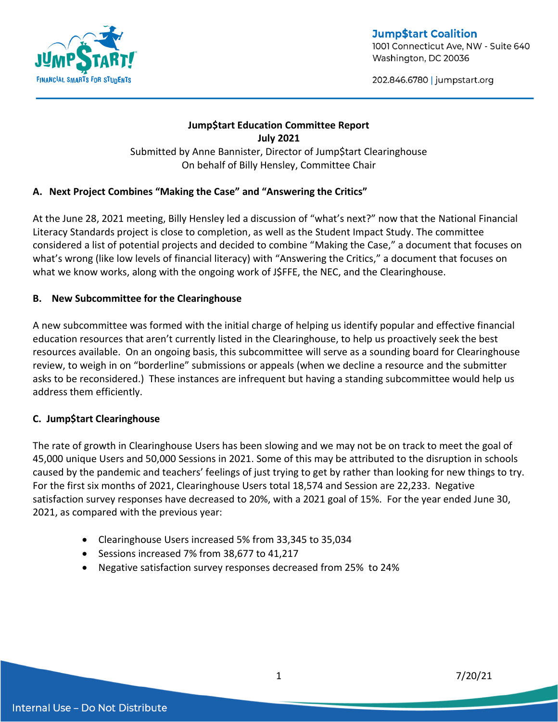

**Jump\$tart Coalition** 1001 Connecticut Ave, NW - Suite 640 Washington, DC 20036

202.846.6780 | jumpstart.org

# **Jump\$tart Education Committee Report July 2021** Submitted by Anne Bannister, Director of Jump\$tart Clearinghouse On behalf of Billy Hensley, Committee Chair

## **A. Next Project Combines "Making the Case" and "Answering the Critics"**

At the June 28, 2021 meeting, Billy Hensley led a discussion of "what's next?" now that the National Financial Literacy Standards project is close to completion, as well as the Student Impact Study. The committee considered a list of potential projects and decided to combine "Making the Case," a document that focuses on what's wrong (like low levels of financial literacy) with "Answering the Critics," a document that focuses on what we know works, along with the ongoing work of J\$FFE, the NEC, and the Clearinghouse.

## **B. New Subcommittee for the Clearinghouse**

A new subcommittee was formed with the initial charge of helping us identify popular and effective financial education resources that aren't currently listed in the Clearinghouse, to help us proactively seek the best resources available. On an ongoing basis, this subcommittee will serve as a sounding board for Clearinghouse review, to weigh in on "borderline" submissions or appeals (when we decline a resource and the submitter asks to be reconsidered.) These instances are infrequent but having a standing subcommittee would help us address them efficiently.

## **C. Jump\$tart Clearinghouse**

The rate of growth in Clearinghouse Users has been slowing and we may not be on track to meet the goal of 45,000 unique Users and 50,000 Sessions in 2021. Some of this may be attributed to the disruption in schools caused by the pandemic and teachers' feelings of just trying to get by rather than looking for new things to try. For the first six months of 2021, Clearinghouse Users total 18,574 and Session are 22,233. Negative satisfaction survey responses have decreased to 20%, with a 2021 goal of 15%. For the year ended June 30, 2021, as compared with the previous year:

- Clearinghouse Users increased 5% from 33,345 to 35,034
- Sessions increased 7% from 38,677 to 41,217
- Negative satisfaction survey responses decreased from 25% to 24%